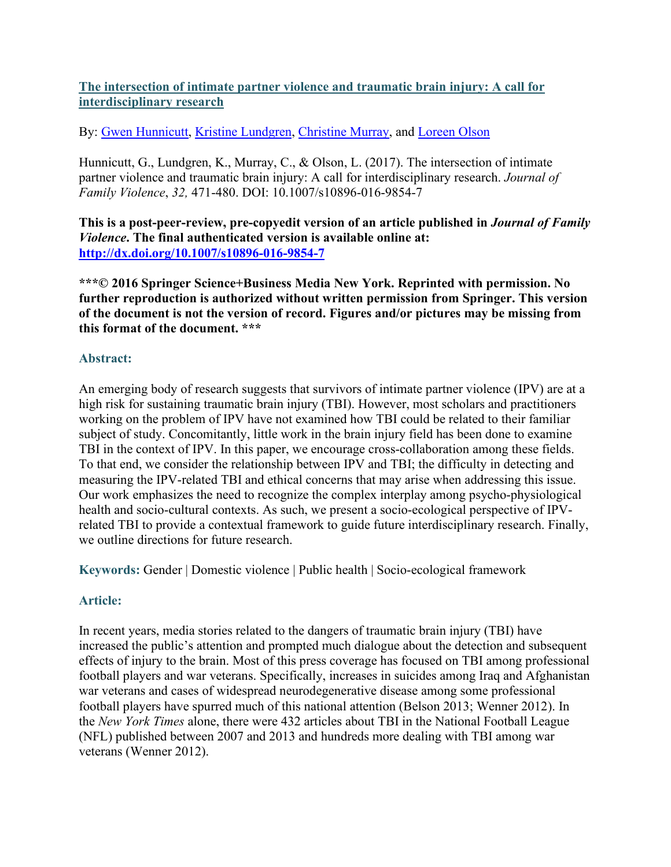## **The intersection of intimate partner violence and traumatic brain injury: A call for interdisciplinary research**

## By: [Gwen Hunnicutt,](http://libres.uncg.edu/ir/uncg/clist.aspx?id=444) [Kristine Lundgren,](http://libres.uncg.edu/ir/uncg/clist.aspx?id=1429) [Christine Murray,](http://libres.uncg.edu/ir/uncg/clist.aspx?id=894) and [Loreen Olson](http://libres.uncg.edu/ir/uncg/clist.aspx?id=4771)

Hunnicutt, G., Lundgren, K., Murray, C., & Olson, L. (2017). The intersection of intimate partner violence and traumatic brain injury: A call for interdisciplinary research. *Journal of Family Violence*, *32,* 471-480. DOI: 10.1007/s10896-016-9854-7

**This is a post-peer-review, pre-copyedit version of an article published in** *Journal of Family Violence***. The final authenticated version is available online at: <http://dx.doi.org/10.1007/s10896-016-9854-7>**

**\*\*\*© 2016 Springer Science+Business Media New York. Reprinted with permission. No further reproduction is authorized without written permission from Springer. This version of the document is not the version of record. Figures and/or pictures may be missing from this format of the document. \*\*\***

## **Abstract:**

An emerging body of research suggests that survivors of intimate partner violence (IPV) are at a high risk for sustaining traumatic brain injury (TBI). However, most scholars and practitioners working on the problem of IPV have not examined how TBI could be related to their familiar subject of study. Concomitantly, little work in the brain injury field has been done to examine TBI in the context of IPV. In this paper, we encourage cross-collaboration among these fields. To that end, we consider the relationship between IPV and TBI; the difficulty in detecting and measuring the IPV-related TBI and ethical concerns that may arise when addressing this issue. Our work emphasizes the need to recognize the complex interplay among psycho-physiological health and socio-cultural contexts. As such, we present a socio-ecological perspective of IPVrelated TBI to provide a contextual framework to guide future interdisciplinary research. Finally, we outline directions for future research.

**Keywords:** Gender | Domestic violence | Public health | Socio-ecological framework

# **Article:**

In recent years, media stories related to the dangers of traumatic brain injury (TBI) have increased the public's attention and prompted much dialogue about the detection and subsequent effects of injury to the brain. Most of this press coverage has focused on TBI among professional football players and war veterans. Specifically, increases in suicides among Iraq and Afghanistan war veterans and cases of widespread neurodegenerative disease among some professional football players have spurred much of this national attention (Belson 2013; Wenner 2012). In the *New York Times* alone, there were 432 articles about TBI in the National Football League (NFL) published between 2007 and 2013 and hundreds more dealing with TBI among war veterans (Wenner 2012).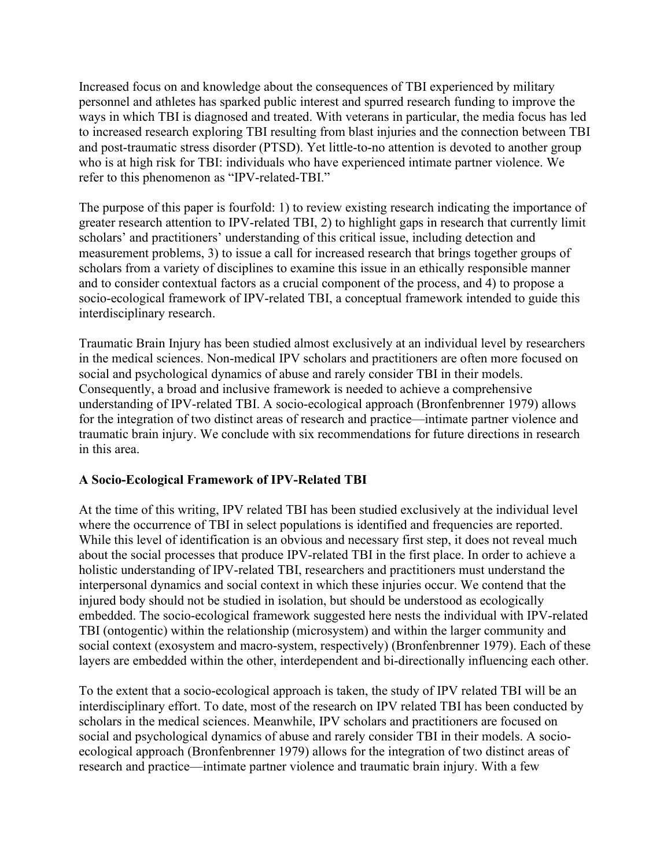Increased focus on and knowledge about the consequences of TBI experienced by military personnel and athletes has sparked public interest and spurred research funding to improve the ways in which TBI is diagnosed and treated. With veterans in particular, the media focus has led to increased research exploring TBI resulting from blast injuries and the connection between TBI and post-traumatic stress disorder (PTSD). Yet little-to-no attention is devoted to another group who is at high risk for TBI: individuals who have experienced intimate partner violence. We refer to this phenomenon as "IPV-related-TBI."

The purpose of this paper is fourfold: 1) to review existing research indicating the importance of greater research attention to IPV-related TBI, 2) to highlight gaps in research that currently limit scholars' and practitioners' understanding of this critical issue, including detection and measurement problems, 3) to issue a call for increased research that brings together groups of scholars from a variety of disciplines to examine this issue in an ethically responsible manner and to consider contextual factors as a crucial component of the process, and 4) to propose a socio-ecological framework of IPV-related TBI, a conceptual framework intended to guide this interdisciplinary research.

Traumatic Brain Injury has been studied almost exclusively at an individual level by researchers in the medical sciences. Non-medical IPV scholars and practitioners are often more focused on social and psychological dynamics of abuse and rarely consider TBI in their models. Consequently, a broad and inclusive framework is needed to achieve a comprehensive understanding of IPV-related TBI. A socio-ecological approach (Bronfenbrenner 1979) allows for the integration of two distinct areas of research and practice—intimate partner violence and traumatic brain injury. We conclude with six recommendations for future directions in research in this area.

## **A Socio-Ecological Framework of IPV-Related TBI**

At the time of this writing, IPV related TBI has been studied exclusively at the individual level where the occurrence of TBI in select populations is identified and frequencies are reported. While this level of identification is an obvious and necessary first step, it does not reveal much about the social processes that produce IPV-related TBI in the first place. In order to achieve a holistic understanding of IPV-related TBI, researchers and practitioners must understand the interpersonal dynamics and social context in which these injuries occur. We contend that the injured body should not be studied in isolation, but should be understood as ecologically embedded. The socio-ecological framework suggested here nests the individual with IPV-related TBI (ontogentic) within the relationship (microsystem) and within the larger community and social context (exosystem and macro-system, respectively) (Bronfenbrenner 1979). Each of these layers are embedded within the other, interdependent and bi-directionally influencing each other.

To the extent that a socio-ecological approach is taken, the study of IPV related TBI will be an interdisciplinary effort. To date, most of the research on IPV related TBI has been conducted by scholars in the medical sciences. Meanwhile, IPV scholars and practitioners are focused on social and psychological dynamics of abuse and rarely consider TBI in their models. A socioecological approach (Bronfenbrenner 1979) allows for the integration of two distinct areas of research and practice—intimate partner violence and traumatic brain injury. With a few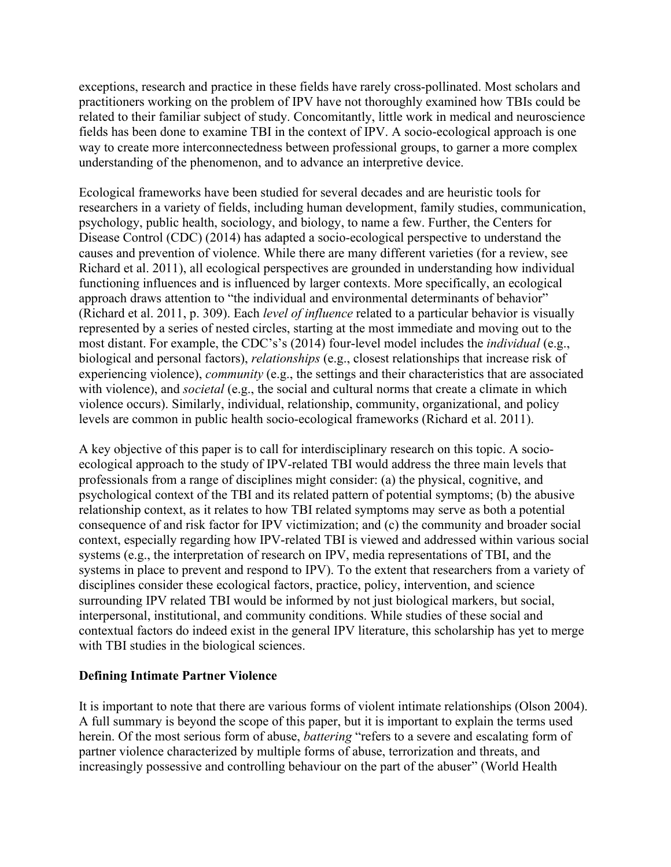exceptions, research and practice in these fields have rarely cross-pollinated. Most scholars and practitioners working on the problem of IPV have not thoroughly examined how TBIs could be related to their familiar subject of study. Concomitantly, little work in medical and neuroscience fields has been done to examine TBI in the context of IPV. A socio-ecological approach is one way to create more interconnectedness between professional groups, to garner a more complex understanding of the phenomenon, and to advance an interpretive device.

Ecological frameworks have been studied for several decades and are heuristic tools for researchers in a variety of fields, including human development, family studies, communication, psychology, public health, sociology, and biology, to name a few. Further, the Centers for Disease Control (CDC) (2014) has adapted a socio-ecological perspective to understand the causes and prevention of violence. While there are many different varieties (for a review, see Richard et al. 2011), all ecological perspectives are grounded in understanding how individual functioning influences and is influenced by larger contexts. More specifically, an ecological approach draws attention to "the individual and environmental determinants of behavior" (Richard et al. 2011, p. 309). Each *level of influence* related to a particular behavior is visually represented by a series of nested circles, starting at the most immediate and moving out to the most distant. For example, the CDC's's (2014) four-level model includes the *individual* (e.g., biological and personal factors), *relationships* (e.g., closest relationships that increase risk of experiencing violence), *community* (e.g., the settings and their characteristics that are associated with violence), and *societal* (e.g., the social and cultural norms that create a climate in which violence occurs). Similarly, individual, relationship, community, organizational, and policy levels are common in public health socio-ecological frameworks (Richard et al. 2011).

A key objective of this paper is to call for interdisciplinary research on this topic. A socioecological approach to the study of IPV-related TBI would address the three main levels that professionals from a range of disciplines might consider: (a) the physical, cognitive, and psychological context of the TBI and its related pattern of potential symptoms; (b) the abusive relationship context, as it relates to how TBI related symptoms may serve as both a potential consequence of and risk factor for IPV victimization; and (c) the community and broader social context, especially regarding how IPV-related TBI is viewed and addressed within various social systems (e.g., the interpretation of research on IPV, media representations of TBI, and the systems in place to prevent and respond to IPV). To the extent that researchers from a variety of disciplines consider these ecological factors, practice, policy, intervention, and science surrounding IPV related TBI would be informed by not just biological markers, but social, interpersonal, institutional, and community conditions. While studies of these social and contextual factors do indeed exist in the general IPV literature, this scholarship has yet to merge with TBI studies in the biological sciences.

#### **Defining Intimate Partner Violence**

It is important to note that there are various forms of violent intimate relationships (Olson 2004). A full summary is beyond the scope of this paper, but it is important to explain the terms used herein. Of the most serious form of abuse, *battering* "refers to a severe and escalating form of partner violence characterized by multiple forms of abuse, terrorization and threats, and increasingly possessive and controlling behaviour on the part of the abuser" (World Health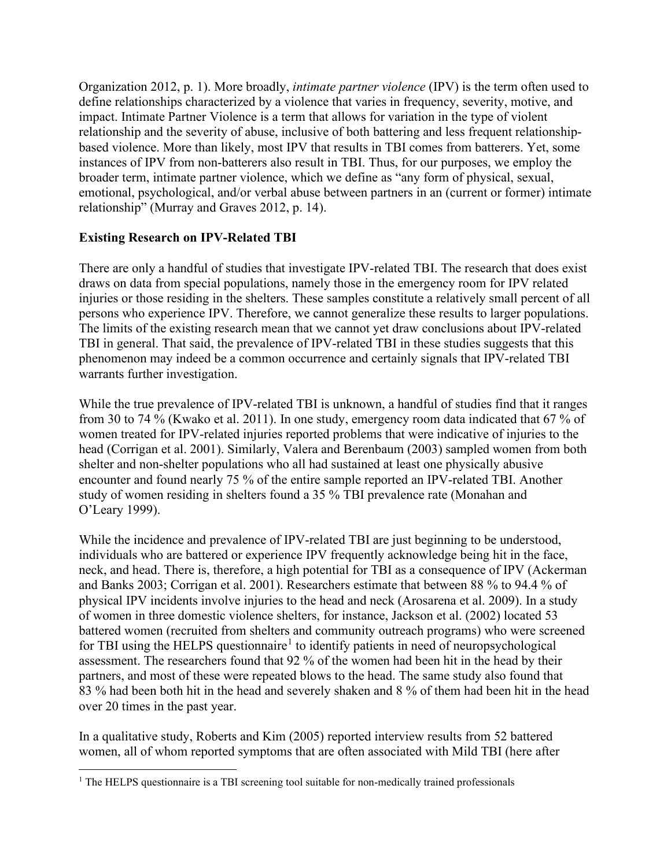Organization 2012, p. 1). More broadly, *intimate partner violence* (IPV) is the term often used to define relationships characterized by a violence that varies in frequency, severity, motive, and impact. Intimate Partner Violence is a term that allows for variation in the type of violent relationship and the severity of abuse, inclusive of both battering and less frequent relationshipbased violence. More than likely, most IPV that results in TBI comes from batterers. Yet, some instances of IPV from non-batterers also result in TBI. Thus, for our purposes, we employ the broader term, intimate partner violence, which we define as "any form of physical, sexual, emotional, psychological, and/or verbal abuse between partners in an (current or former) intimate relationship" (Murray and Graves 2012, p. 14).

### **Existing Research on IPV-Related TBI**

There are only a handful of studies that investigate IPV-related TBI. The research that does exist draws on data from special populations, namely those in the emergency room for IPV related injuries or those residing in the shelters. These samples constitute a relatively small percent of all persons who experience IPV. Therefore, we cannot generalize these results to larger populations. The limits of the existing research mean that we cannot yet draw conclusions about IPV-related TBI in general. That said, the prevalence of IPV-related TBI in these studies suggests that this phenomenon may indeed be a common occurrence and certainly signals that IPV-related TBI warrants further investigation.

While the true prevalence of IPV-related TBI is unknown, a handful of studies find that it ranges from 30 to 74 % (Kwako et al. 2011). In one study, emergency room data indicated that 67 % of women treated for IPV-related injuries reported problems that were indicative of injuries to the head (Corrigan et al. 2001). Similarly, Valera and Berenbaum (2003) sampled women from both shelter and non-shelter populations who all had sustained at least one physically abusive encounter and found nearly 75 % of the entire sample reported an IPV-related TBI. Another study of women residing in shelters found a 35 % TBI prevalence rate (Monahan and O'Leary 1999).

While the incidence and prevalence of IPV-related TBI are just beginning to be understood, individuals who are battered or experience IPV frequently acknowledge being hit in the face, neck, and head. There is, therefore, a high potential for TBI as a consequence of IPV (Ackerman and Banks 2003; Corrigan et al. 2001). Researchers estimate that between 88 % to 94.4 % of physical IPV incidents involve injuries to the head and neck (Arosarena et al. 2009). In a study of women in three domestic violence shelters, for instance, Jackson et al. (2002) located 53 battered women (recruited from shelters and community outreach programs) who were screened for TBI using the HELPS questionnaire<sup>[1](#page-3-0)</sup> to identify patients in need of neuropsychological assessment. The researchers found that 92 % of the women had been hit in the head by their partners, and most of these were repeated blows to the head. The same study also found that 83 % had been both hit in the head and severely shaken and 8 % of them had been hit in the head over 20 times in the past year.

In a qualitative study, Roberts and Kim (2005) reported interview results from 52 battered women, all of whom reported symptoms that are often associated with Mild TBI (here after

<span id="page-3-0"></span><sup>&</sup>lt;sup>1</sup> The HELPS questionnaire is a TBI screening tool suitable for non-medically trained professionals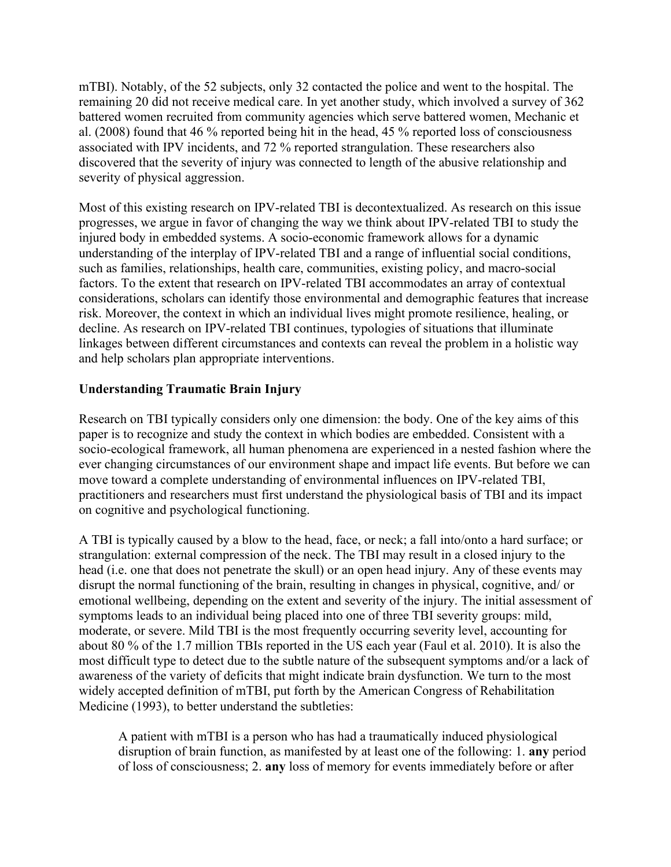mTBI). Notably, of the 52 subjects, only 32 contacted the police and went to the hospital. The remaining 20 did not receive medical care. In yet another study, which involved a survey of 362 battered women recruited from community agencies which serve battered women, Mechanic et al. (2008) found that 46 % reported being hit in the head, 45 % reported loss of consciousness associated with IPV incidents, and 72 % reported strangulation. These researchers also discovered that the severity of injury was connected to length of the abusive relationship and severity of physical aggression.

Most of this existing research on IPV-related TBI is decontextualized. As research on this issue progresses, we argue in favor of changing the way we think about IPV-related TBI to study the injured body in embedded systems. A socio-economic framework allows for a dynamic understanding of the interplay of IPV-related TBI and a range of influential social conditions, such as families, relationships, health care, communities, existing policy, and macro-social factors. To the extent that research on IPV-related TBI accommodates an array of contextual considerations, scholars can identify those environmental and demographic features that increase risk. Moreover, the context in which an individual lives might promote resilience, healing, or decline. As research on IPV-related TBI continues, typologies of situations that illuminate linkages between different circumstances and contexts can reveal the problem in a holistic way and help scholars plan appropriate interventions.

### **Understanding Traumatic Brain Injury**

Research on TBI typically considers only one dimension: the body. One of the key aims of this paper is to recognize and study the context in which bodies are embedded. Consistent with a socio-ecological framework, all human phenomena are experienced in a nested fashion where the ever changing circumstances of our environment shape and impact life events. But before we can move toward a complete understanding of environmental influences on IPV-related TBI, practitioners and researchers must first understand the physiological basis of TBI and its impact on cognitive and psychological functioning.

A TBI is typically caused by a blow to the head, face, or neck; a fall into/onto a hard surface; or strangulation: external compression of the neck. The TBI may result in a closed injury to the head (i.e. one that does not penetrate the skull) or an open head injury. Any of these events may disrupt the normal functioning of the brain, resulting in changes in physical, cognitive, and/ or emotional wellbeing, depending on the extent and severity of the injury. The initial assessment of symptoms leads to an individual being placed into one of three TBI severity groups: mild, moderate, or severe. Mild TBI is the most frequently occurring severity level, accounting for about 80 % of the 1.7 million TBIs reported in the US each year (Faul et al. 2010). It is also the most difficult type to detect due to the subtle nature of the subsequent symptoms and/or a lack of awareness of the variety of deficits that might indicate brain dysfunction. We turn to the most widely accepted definition of mTBI, put forth by the American Congress of Rehabilitation Medicine (1993), to better understand the subtleties:

A patient with mTBI is a person who has had a traumatically induced physiological disruption of brain function, as manifested by at least one of the following: 1. **any** period of loss of consciousness; 2. **any** loss of memory for events immediately before or after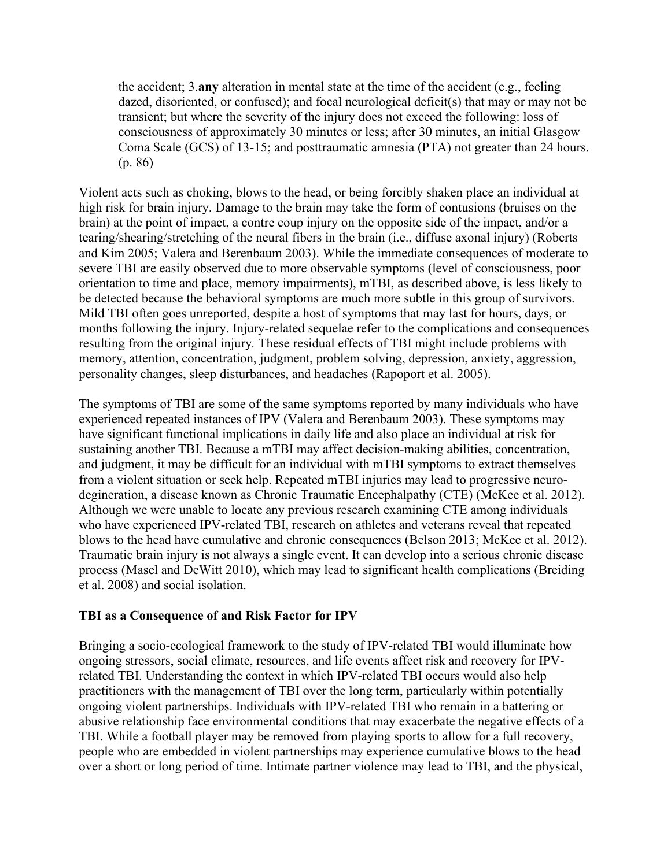the accident; 3.**any** alteration in mental state at the time of the accident (e.g., feeling dazed, disoriented, or confused); and focal neurological deficit(s) that may or may not be transient; but where the severity of the injury does not exceed the following: loss of consciousness of approximately 30 minutes or less; after 30 minutes, an initial Glasgow Coma Scale (GCS) of 13-15; and posttraumatic amnesia (PTA) not greater than 24 hours. (p. 86)

Violent acts such as choking, blows to the head, or being forcibly shaken place an individual at high risk for brain injury. Damage to the brain may take the form of contusions (bruises on the brain) at the point of impact, a contre coup injury on the opposite side of the impact, and/or a tearing/shearing/stretching of the neural fibers in the brain (i.e., diffuse axonal injury) (Roberts and Kim 2005; Valera and Berenbaum 2003). While the immediate consequences of moderate to severe TBI are easily observed due to more observable symptoms (level of consciousness, poor orientation to time and place, memory impairments), mTBI, as described above, is less likely to be detected because the behavioral symptoms are much more subtle in this group of survivors. Mild TBI often goes unreported, despite a host of symptoms that may last for hours, days, or months following the injury. Injury-related sequelae refer to the complications and consequences resulting from the original injury*.* These residual effects of TBI might include problems with memory, attention, concentration, judgment, problem solving, depression, anxiety, aggression, personality changes, sleep disturbances, and headaches (Rapoport et al. 2005).

The symptoms of TBI are some of the same symptoms reported by many individuals who have experienced repeated instances of IPV (Valera and Berenbaum 2003). These symptoms may have significant functional implications in daily life and also place an individual at risk for sustaining another TBI. Because a mTBI may affect decision-making abilities, concentration, and judgment, it may be difficult for an individual with mTBI symptoms to extract themselves from a violent situation or seek help. Repeated mTBI injuries may lead to progressive neurodegineration, a disease known as Chronic Traumatic Encephalpathy (CTE) (McKee et al. 2012). Although we were unable to locate any previous research examining CTE among individuals who have experienced IPV-related TBI, research on athletes and veterans reveal that repeated blows to the head have cumulative and chronic consequences (Belson 2013; McKee et al. 2012). Traumatic brain injury is not always a single event. It can develop into a serious chronic disease process (Masel and DeWitt 2010), which may lead to significant health complications (Breiding et al. 2008) and social isolation.

#### **TBI as a Consequence of and Risk Factor for IPV**

Bringing a socio-ecological framework to the study of IPV-related TBI would illuminate how ongoing stressors, social climate, resources, and life events affect risk and recovery for IPVrelated TBI. Understanding the context in which IPV-related TBI occurs would also help practitioners with the management of TBI over the long term, particularly within potentially ongoing violent partnerships. Individuals with IPV-related TBI who remain in a battering or abusive relationship face environmental conditions that may exacerbate the negative effects of a TBI. While a football player may be removed from playing sports to allow for a full recovery, people who are embedded in violent partnerships may experience cumulative blows to the head over a short or long period of time. Intimate partner violence may lead to TBI, and the physical,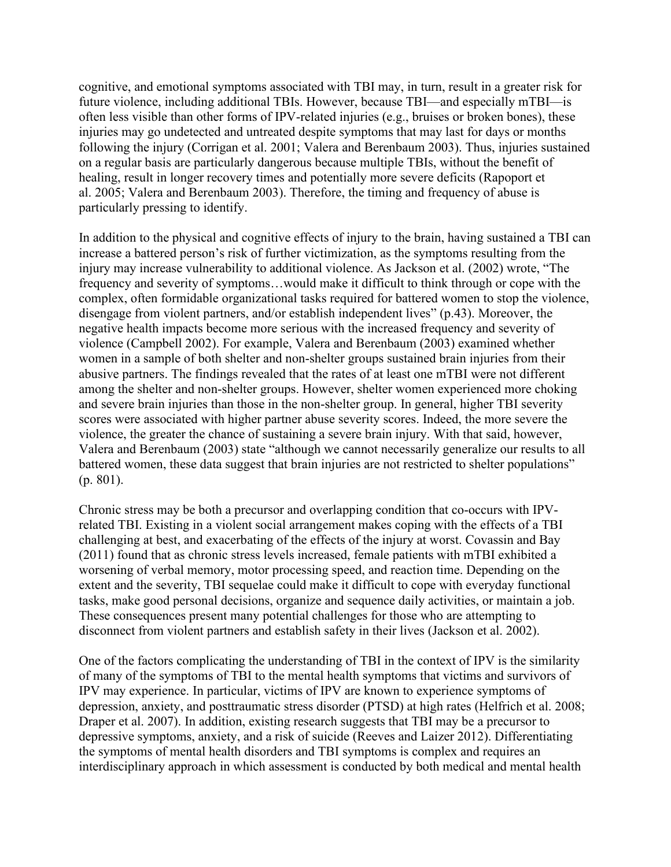cognitive, and emotional symptoms associated with TBI may, in turn, result in a greater risk for future violence, including additional TBIs. However, because TBI—and especially mTBI—is often less visible than other forms of IPV-related injuries (e.g., bruises or broken bones), these injuries may go undetected and untreated despite symptoms that may last for days or months following the injury (Corrigan et al. 2001; Valera and Berenbaum 2003). Thus, injuries sustained on a regular basis are particularly dangerous because multiple TBIs, without the benefit of healing, result in longer recovery times and potentially more severe deficits (Rapoport et al. 2005; Valera and Berenbaum 2003). Therefore, the timing and frequency of abuse is particularly pressing to identify.

In addition to the physical and cognitive effects of injury to the brain, having sustained a TBI can increase a battered person's risk of further victimization, as the symptoms resulting from the injury may increase vulnerability to additional violence. As Jackson et al. (2002) wrote, "The frequency and severity of symptoms…would make it difficult to think through or cope with the complex, often formidable organizational tasks required for battered women to stop the violence, disengage from violent partners, and/or establish independent lives" (p.43). Moreover, the negative health impacts become more serious with the increased frequency and severity of violence (Campbell 2002). For example, Valera and Berenbaum (2003) examined whether women in a sample of both shelter and non-shelter groups sustained brain injuries from their abusive partners. The findings revealed that the rates of at least one mTBI were not different among the shelter and non-shelter groups. However, shelter women experienced more choking and severe brain injuries than those in the non-shelter group. In general, higher TBI severity scores were associated with higher partner abuse severity scores. Indeed, the more severe the violence, the greater the chance of sustaining a severe brain injury. With that said, however, Valera and Berenbaum (2003) state "although we cannot necessarily generalize our results to all battered women, these data suggest that brain injuries are not restricted to shelter populations" (p. 801).

Chronic stress may be both a precursor and overlapping condition that co-occurs with IPVrelated TBI. Existing in a violent social arrangement makes coping with the effects of a TBI challenging at best, and exacerbating of the effects of the injury at worst. Covassin and Bay (2011) found that as chronic stress levels increased, female patients with mTBI exhibited a worsening of verbal memory, motor processing speed, and reaction time. Depending on the extent and the severity, TBI sequelae could make it difficult to cope with everyday functional tasks, make good personal decisions, organize and sequence daily activities, or maintain a job. These consequences present many potential challenges for those who are attempting to disconnect from violent partners and establish safety in their lives (Jackson et al. 2002).

One of the factors complicating the understanding of TBI in the context of IPV is the similarity of many of the symptoms of TBI to the mental health symptoms that victims and survivors of IPV may experience. In particular, victims of IPV are known to experience symptoms of depression, anxiety, and posttraumatic stress disorder (PTSD) at high rates (Helfrich et al. 2008; Draper et al. 2007). In addition, existing research suggests that TBI may be a precursor to depressive symptoms, anxiety, and a risk of suicide (Reeves and Laizer 2012). Differentiating the symptoms of mental health disorders and TBI symptoms is complex and requires an interdisciplinary approach in which assessment is conducted by both medical and mental health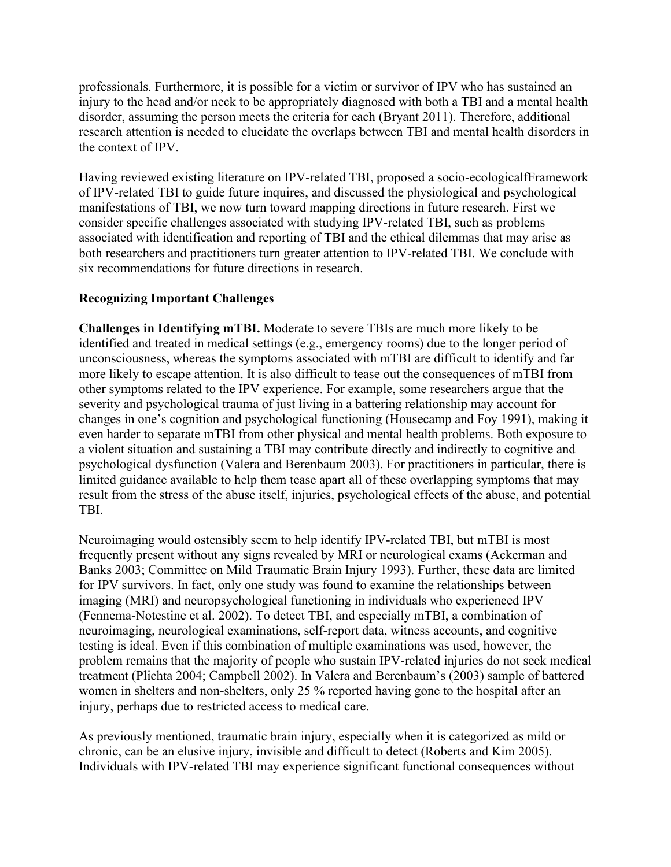professionals. Furthermore, it is possible for a victim or survivor of IPV who has sustained an injury to the head and/or neck to be appropriately diagnosed with both a TBI and a mental health disorder, assuming the person meets the criteria for each (Bryant 2011). Therefore, additional research attention is needed to elucidate the overlaps between TBI and mental health disorders in the context of IPV.

Having reviewed existing literature on IPV-related TBI, proposed a socio-ecologicalfFramework of IPV-related TBI to guide future inquires, and discussed the physiological and psychological manifestations of TBI, we now turn toward mapping directions in future research. First we consider specific challenges associated with studying IPV-related TBI, such as problems associated with identification and reporting of TBI and the ethical dilemmas that may arise as both researchers and practitioners turn greater attention to IPV-related TBI. We conclude with six recommendations for future directions in research.

# **Recognizing Important Challenges**

**Challenges in Identifying mTBI.** Moderate to severe TBIs are much more likely to be identified and treated in medical settings (e.g., emergency rooms) due to the longer period of unconsciousness, whereas the symptoms associated with mTBI are difficult to identify and far more likely to escape attention. It is also difficult to tease out the consequences of mTBI from other symptoms related to the IPV experience. For example, some researchers argue that the severity and psychological trauma of just living in a battering relationship may account for changes in one's cognition and psychological functioning (Housecamp and Foy 1991), making it even harder to separate mTBI from other physical and mental health problems. Both exposure to a violent situation and sustaining a TBI may contribute directly and indirectly to cognitive and psychological dysfunction (Valera and Berenbaum 2003). For practitioners in particular, there is limited guidance available to help them tease apart all of these overlapping symptoms that may result from the stress of the abuse itself, injuries, psychological effects of the abuse, and potential TBI.

Neuroimaging would ostensibly seem to help identify IPV-related TBI, but mTBI is most frequently present without any signs revealed by MRI or neurological exams (Ackerman and Banks 2003; Committee on Mild Traumatic Brain Injury 1993). Further, these data are limited for IPV survivors. In fact, only one study was found to examine the relationships between imaging (MRI) and neuropsychological functioning in individuals who experienced IPV (Fennema-Notestine et al. 2002). To detect TBI, and especially mTBI, a combination of neuroimaging, neurological examinations, self-report data, witness accounts, and cognitive testing is ideal. Even if this combination of multiple examinations was used, however, the problem remains that the majority of people who sustain IPV-related injuries do not seek medical treatment (Plichta 2004; Campbell 2002). In Valera and Berenbaum's (2003) sample of battered women in shelters and non-shelters, only 25 % reported having gone to the hospital after an injury, perhaps due to restricted access to medical care.

As previously mentioned, traumatic brain injury, especially when it is categorized as mild or chronic, can be an elusive injury, invisible and difficult to detect (Roberts and Kim 2005). Individuals with IPV-related TBI may experience significant functional consequences without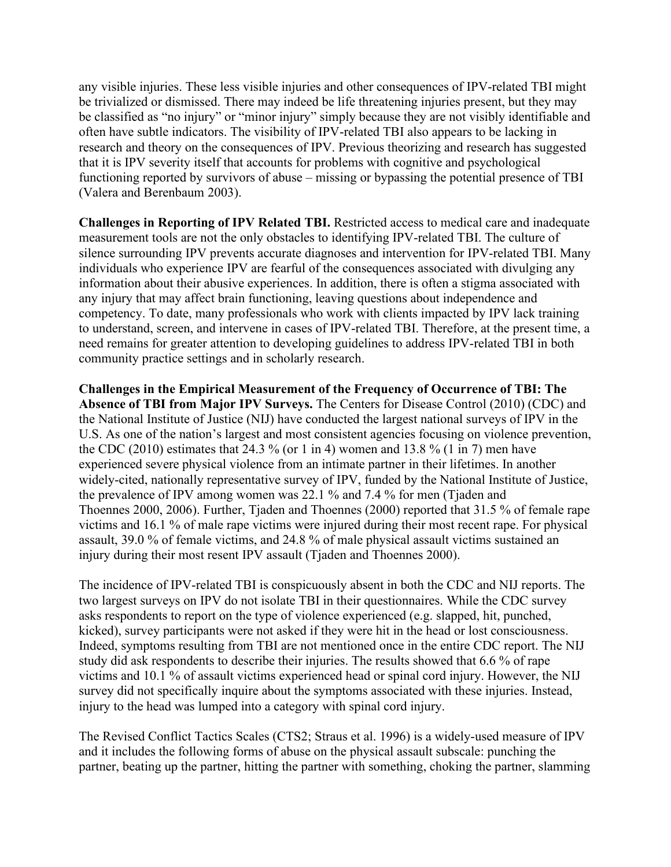any visible injuries. These less visible injuries and other consequences of IPV-related TBI might be trivialized or dismissed. There may indeed be life threatening injuries present, but they may be classified as "no injury" or "minor injury" simply because they are not visibly identifiable and often have subtle indicators. The visibility of IPV-related TBI also appears to be lacking in research and theory on the consequences of IPV. Previous theorizing and research has suggested that it is IPV severity itself that accounts for problems with cognitive and psychological functioning reported by survivors of abuse – missing or bypassing the potential presence of TBI (Valera and Berenbaum 2003).

**Challenges in Reporting of IPV Related TBI.** Restricted access to medical care and inadequate measurement tools are not the only obstacles to identifying IPV-related TBI. The culture of silence surrounding IPV prevents accurate diagnoses and intervention for IPV-related TBI. Many individuals who experience IPV are fearful of the consequences associated with divulging any information about their abusive experiences. In addition, there is often a stigma associated with any injury that may affect brain functioning, leaving questions about independence and competency. To date, many professionals who work with clients impacted by IPV lack training to understand, screen, and intervene in cases of IPV-related TBI. Therefore, at the present time, a need remains for greater attention to developing guidelines to address IPV-related TBI in both community practice settings and in scholarly research.

**Challenges in the Empirical Measurement of the Frequency of Occurrence of TBI: The Absence of TBI from Major IPV Surveys.** The Centers for Disease Control (2010) (CDC) and the National Institute of Justice (NIJ) have conducted the largest national surveys of IPV in the U.S. As one of the nation's largest and most consistent agencies focusing on violence prevention, the CDC (2010) estimates that 24.3 % (or 1 in 4) women and 13.8 % (1 in 7) men have experienced severe physical violence from an intimate partner in their lifetimes. In another widely-cited, nationally representative survey of IPV, funded by the National Institute of Justice, the prevalence of IPV among women was 22.1 % and 7.4 % for men (Tjaden and Thoennes 2000, 2006). Further, Tjaden and Thoennes (2000) reported that 31.5 % of female rape victims and 16.1 % of male rape victims were injured during their most recent rape. For physical assault, 39.0 % of female victims, and 24.8 % of male physical assault victims sustained an injury during their most resent IPV assault (Tjaden and Thoennes 2000).

The incidence of IPV-related TBI is conspicuously absent in both the CDC and NIJ reports. The two largest surveys on IPV do not isolate TBI in their questionnaires. While the CDC survey asks respondents to report on the type of violence experienced (e.g. slapped, hit, punched, kicked), survey participants were not asked if they were hit in the head or lost consciousness. Indeed, symptoms resulting from TBI are not mentioned once in the entire CDC report. The NIJ study did ask respondents to describe their injuries. The results showed that 6.6 % of rape victims and 10.1 % of assault victims experienced head or spinal cord injury. However, the NIJ survey did not specifically inquire about the symptoms associated with these injuries. Instead, injury to the head was lumped into a category with spinal cord injury.

The Revised Conflict Tactics Scales (CTS2; Straus et al. 1996) is a widely-used measure of IPV and it includes the following forms of abuse on the physical assault subscale: punching the partner, beating up the partner, hitting the partner with something, choking the partner, slamming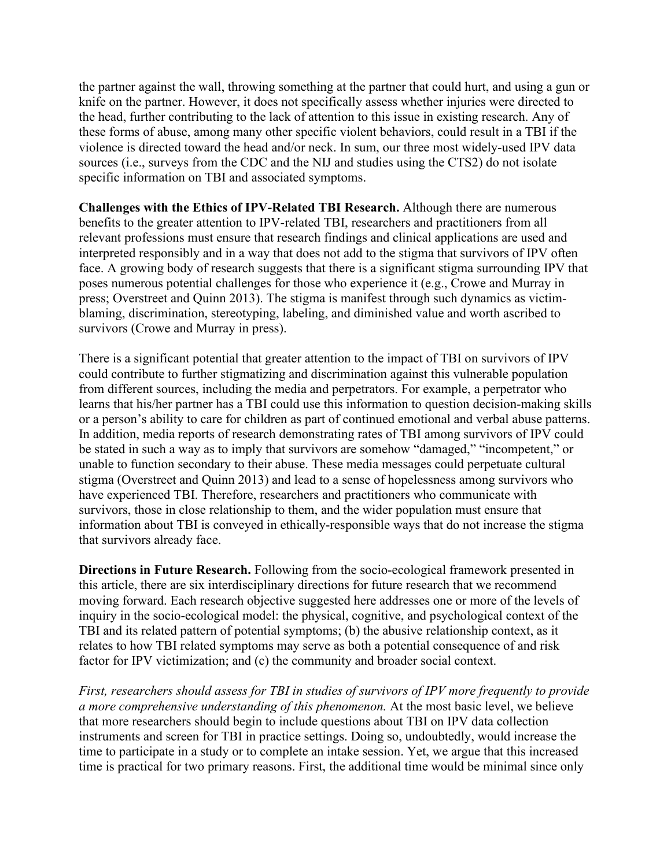the partner against the wall, throwing something at the partner that could hurt, and using a gun or knife on the partner. However, it does not specifically assess whether injuries were directed to the head, further contributing to the lack of attention to this issue in existing research. Any of these forms of abuse, among many other specific violent behaviors, could result in a TBI if the violence is directed toward the head and/or neck. In sum, our three most widely-used IPV data sources (i.e., surveys from the CDC and the NIJ and studies using the CTS2) do not isolate specific information on TBI and associated symptoms.

**Challenges with the Ethics of IPV-Related TBI Research.** Although there are numerous benefits to the greater attention to IPV-related TBI, researchers and practitioners from all relevant professions must ensure that research findings and clinical applications are used and interpreted responsibly and in a way that does not add to the stigma that survivors of IPV often face. A growing body of research suggests that there is a significant stigma surrounding IPV that poses numerous potential challenges for those who experience it (e.g., Crowe and Murray in press; Overstreet and Quinn 2013). The stigma is manifest through such dynamics as victimblaming, discrimination, stereotyping, labeling, and diminished value and worth ascribed to survivors (Crowe and Murray in press).

There is a significant potential that greater attention to the impact of TBI on survivors of IPV could contribute to further stigmatizing and discrimination against this vulnerable population from different sources, including the media and perpetrators. For example, a perpetrator who learns that his/her partner has a TBI could use this information to question decision-making skills or a person's ability to care for children as part of continued emotional and verbal abuse patterns. In addition, media reports of research demonstrating rates of TBI among survivors of IPV could be stated in such a way as to imply that survivors are somehow "damaged," "incompetent," or unable to function secondary to their abuse. These media messages could perpetuate cultural stigma (Overstreet and Quinn 2013) and lead to a sense of hopelessness among survivors who have experienced TBI. Therefore, researchers and practitioners who communicate with survivors, those in close relationship to them, and the wider population must ensure that information about TBI is conveyed in ethically-responsible ways that do not increase the stigma that survivors already face.

**Directions in Future Research.** Following from the socio-ecological framework presented in this article, there are six interdisciplinary directions for future research that we recommend moving forward. Each research objective suggested here addresses one or more of the levels of inquiry in the socio-ecological model: the physical, cognitive, and psychological context of the TBI and its related pattern of potential symptoms; (b) the abusive relationship context, as it relates to how TBI related symptoms may serve as both a potential consequence of and risk factor for IPV victimization; and (c) the community and broader social context.

*First, researchers should assess for TBI in studies of survivors of IPV more frequently to provide a more comprehensive understanding of this phenomenon.* At the most basic level, we believe that more researchers should begin to include questions about TBI on IPV data collection instruments and screen for TBI in practice settings. Doing so, undoubtedly, would increase the time to participate in a study or to complete an intake session. Yet, we argue that this increased time is practical for two primary reasons. First, the additional time would be minimal since only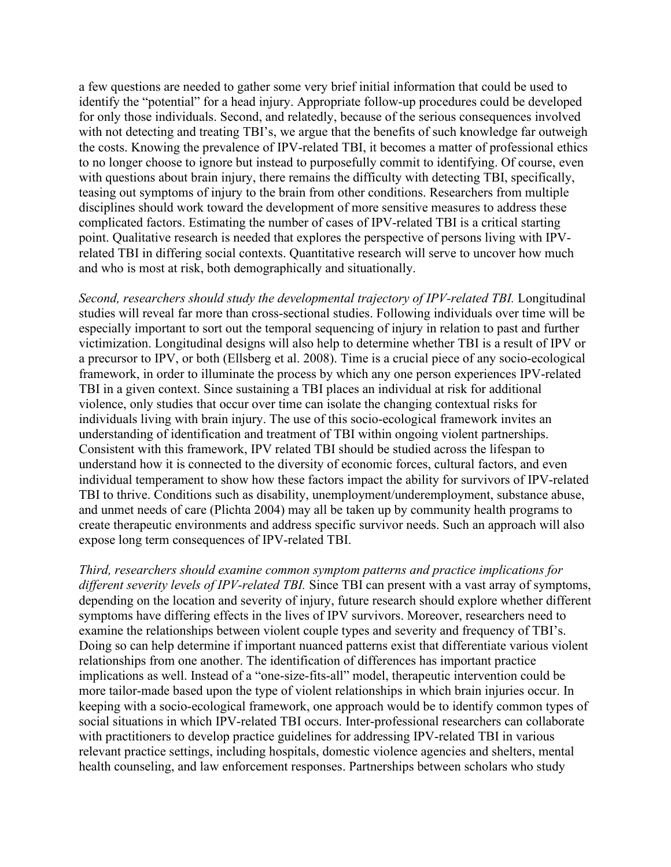a few questions are needed to gather some very brief initial information that could be used to identify the "potential" for a head injury. Appropriate follow-up procedures could be developed for only those individuals. Second, and relatedly, because of the serious consequences involved with not detecting and treating TBI's, we argue that the benefits of such knowledge far outweigh the costs. Knowing the prevalence of IPV-related TBI, it becomes a matter of professional ethics to no longer choose to ignore but instead to purposefully commit to identifying. Of course, even with questions about brain injury, there remains the difficulty with detecting TBI, specifically, teasing out symptoms of injury to the brain from other conditions. Researchers from multiple disciplines should work toward the development of more sensitive measures to address these complicated factors. Estimating the number of cases of IPV-related TBI is a critical starting point. Qualitative research is needed that explores the perspective of persons living with IPVrelated TBI in differing social contexts. Quantitative research will serve to uncover how much and who is most at risk, both demographically and situationally.

*Second, researchers should study the developmental trajectory of IPV-related TBI.* Longitudinal studies will reveal far more than cross-sectional studies. Following individuals over time will be especially important to sort out the temporal sequencing of injury in relation to past and further victimization. Longitudinal designs will also help to determine whether TBI is a result of IPV or a precursor to IPV, or both (Ellsberg et al. 2008). Time is a crucial piece of any socio-ecological framework, in order to illuminate the process by which any one person experiences IPV-related TBI in a given context. Since sustaining a TBI places an individual at risk for additional violence, only studies that occur over time can isolate the changing contextual risks for individuals living with brain injury. The use of this socio-ecological framework invites an understanding of identification and treatment of TBI within ongoing violent partnerships. Consistent with this framework, IPV related TBI should be studied across the lifespan to understand how it is connected to the diversity of economic forces, cultural factors, and even individual temperament to show how these factors impact the ability for survivors of IPV-related TBI to thrive. Conditions such as disability, unemployment/underemployment, substance abuse, and unmet needs of care (Plichta 2004) may all be taken up by community health programs to create therapeutic environments and address specific survivor needs. Such an approach will also expose long term consequences of IPV-related TBI.

*Third, researchers should examine common symptom patterns and practice implications for different severity levels of IPV-related TBI.* Since TBI can present with a vast array of symptoms, depending on the location and severity of injury, future research should explore whether different symptoms have differing effects in the lives of IPV survivors. Moreover, researchers need to examine the relationships between violent couple types and severity and frequency of TBI's. Doing so can help determine if important nuanced patterns exist that differentiate various violent relationships from one another. The identification of differences has important practice implications as well. Instead of a "one-size-fits-all" model, therapeutic intervention could be more tailor-made based upon the type of violent relationships in which brain injuries occur. In keeping with a socio-ecological framework, one approach would be to identify common types of social situations in which IPV-related TBI occurs. Inter-professional researchers can collaborate with practitioners to develop practice guidelines for addressing IPV-related TBI in various relevant practice settings, including hospitals, domestic violence agencies and shelters, mental health counseling, and law enforcement responses. Partnerships between scholars who study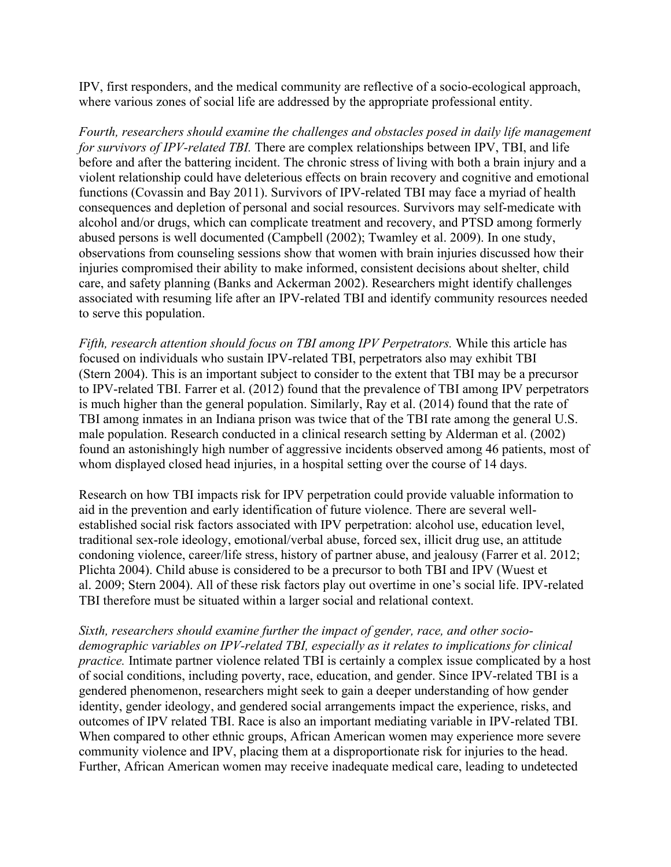IPV, first responders, and the medical community are reflective of a socio-ecological approach, where various zones of social life are addressed by the appropriate professional entity.

*Fourth, researchers should examine the challenges and obstacles posed in daily life management for survivors of IPV-related TBI.* There are complex relationships between IPV, TBI, and life before and after the battering incident. The chronic stress of living with both a brain injury and a violent relationship could have deleterious effects on brain recovery and cognitive and emotional functions (Covassin and Bay 2011). Survivors of IPV-related TBI may face a myriad of health consequences and depletion of personal and social resources. Survivors may self-medicate with alcohol and/or drugs, which can complicate treatment and recovery, and PTSD among formerly abused persons is well documented (Campbell (2002); Twamley et al. 2009). In one study, observations from counseling sessions show that women with brain injuries discussed how their injuries compromised their ability to make informed, consistent decisions about shelter, child care, and safety planning (Banks and Ackerman 2002). Researchers might identify challenges associated with resuming life after an IPV-related TBI and identify community resources needed to serve this population.

*Fifth, research attention should focus on TBI among IPV Perpetrators.* While this article has focused on individuals who sustain IPV-related TBI, perpetrators also may exhibit TBI (Stern 2004). This is an important subject to consider to the extent that TBI may be a precursor to IPV-related TBI. Farrer et al. (2012) found that the prevalence of TBI among IPV perpetrators is much higher than the general population. Similarly, Ray et al. (2014) found that the rate of TBI among inmates in an Indiana prison was twice that of the TBI rate among the general U.S. male population. Research conducted in a clinical research setting by Alderman et al. (2002) found an astonishingly high number of aggressive incidents observed among 46 patients, most of whom displayed closed head injuries, in a hospital setting over the course of 14 days.

Research on how TBI impacts risk for IPV perpetration could provide valuable information to aid in the prevention and early identification of future violence. There are several wellestablished social risk factors associated with IPV perpetration: alcohol use, education level, traditional sex-role ideology, emotional/verbal abuse, forced sex, illicit drug use, an attitude condoning violence, career/life stress, history of partner abuse, and jealousy (Farrer et al. 2012; Plichta 2004). Child abuse is considered to be a precursor to both TBI and IPV (Wuest et al. 2009; Stern 2004). All of these risk factors play out overtime in one's social life. IPV-related TBI therefore must be situated within a larger social and relational context.

*Sixth, researchers should examine further the impact of gender, race, and other sociodemographic variables on IPV-related TBI, especially as it relates to implications for clinical practice.* Intimate partner violence related TBI is certainly a complex issue complicated by a host of social conditions, including poverty, race, education, and gender. Since IPV-related TBI is a gendered phenomenon, researchers might seek to gain a deeper understanding of how gender identity, gender ideology, and gendered social arrangements impact the experience, risks, and outcomes of IPV related TBI. Race is also an important mediating variable in IPV-related TBI. When compared to other ethnic groups, African American women may experience more severe community violence and IPV, placing them at a disproportionate risk for injuries to the head. Further, African American women may receive inadequate medical care, leading to undetected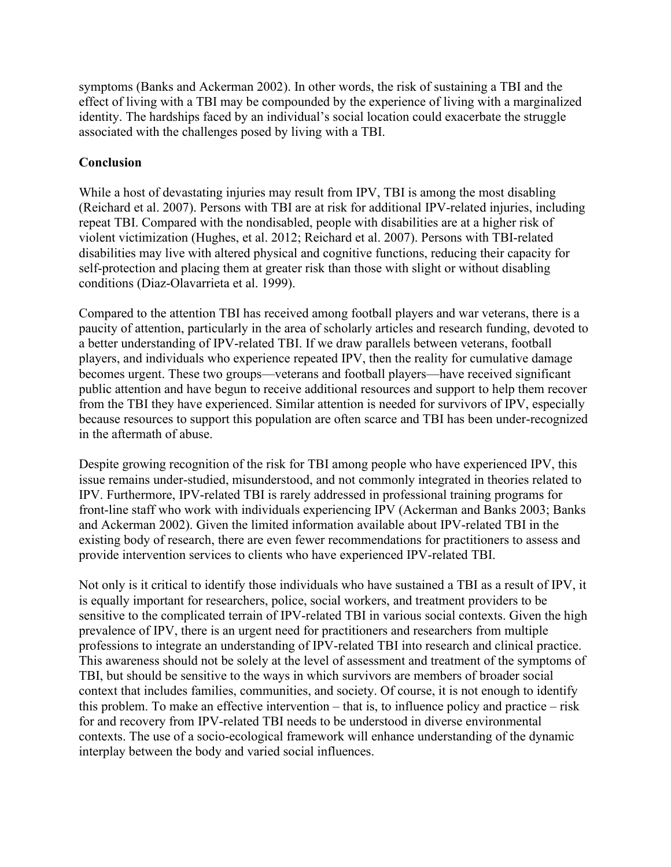symptoms (Banks and Ackerman 2002). In other words, the risk of sustaining a TBI and the effect of living with a TBI may be compounded by the experience of living with a marginalized identity. The hardships faced by an individual's social location could exacerbate the struggle associated with the challenges posed by living with a TBI.

## **Conclusion**

While a host of devastating injuries may result from IPV, TBI is among the most disabling (Reichard et al. 2007). Persons with TBI are at risk for additional IPV-related injuries, including repeat TBI. Compared with the nondisabled, people with disabilities are at a higher risk of violent victimization (Hughes, et al. 2012; Reichard et al. 2007). Persons with TBI-related disabilities may live with altered physical and cognitive functions, reducing their capacity for self-protection and placing them at greater risk than those with slight or without disabling conditions (Diaz-Olavarrieta et al. 1999).

Compared to the attention TBI has received among football players and war veterans, there is a paucity of attention, particularly in the area of scholarly articles and research funding, devoted to a better understanding of IPV-related TBI. If we draw parallels between veterans, football players, and individuals who experience repeated IPV, then the reality for cumulative damage becomes urgent. These two groups—veterans and football players—have received significant public attention and have begun to receive additional resources and support to help them recover from the TBI they have experienced. Similar attention is needed for survivors of IPV, especially because resources to support this population are often scarce and TBI has been under-recognized in the aftermath of abuse.

Despite growing recognition of the risk for TBI among people who have experienced IPV, this issue remains under-studied, misunderstood, and not commonly integrated in theories related to IPV. Furthermore, IPV-related TBI is rarely addressed in professional training programs for front-line staff who work with individuals experiencing IPV (Ackerman and Banks 2003; Banks and Ackerman 2002). Given the limited information available about IPV-related TBI in the existing body of research, there are even fewer recommendations for practitioners to assess and provide intervention services to clients who have experienced IPV-related TBI.

Not only is it critical to identify those individuals who have sustained a TBI as a result of IPV, it is equally important for researchers, police, social workers, and treatment providers to be sensitive to the complicated terrain of IPV-related TBI in various social contexts. Given the high prevalence of IPV, there is an urgent need for practitioners and researchers from multiple professions to integrate an understanding of IPV-related TBI into research and clinical practice. This awareness should not be solely at the level of assessment and treatment of the symptoms of TBI, but should be sensitive to the ways in which survivors are members of broader social context that includes families, communities, and society. Of course, it is not enough to identify this problem. To make an effective intervention – that is, to influence policy and practice – risk for and recovery from IPV-related TBI needs to be understood in diverse environmental contexts. The use of a socio-ecological framework will enhance understanding of the dynamic interplay between the body and varied social influences.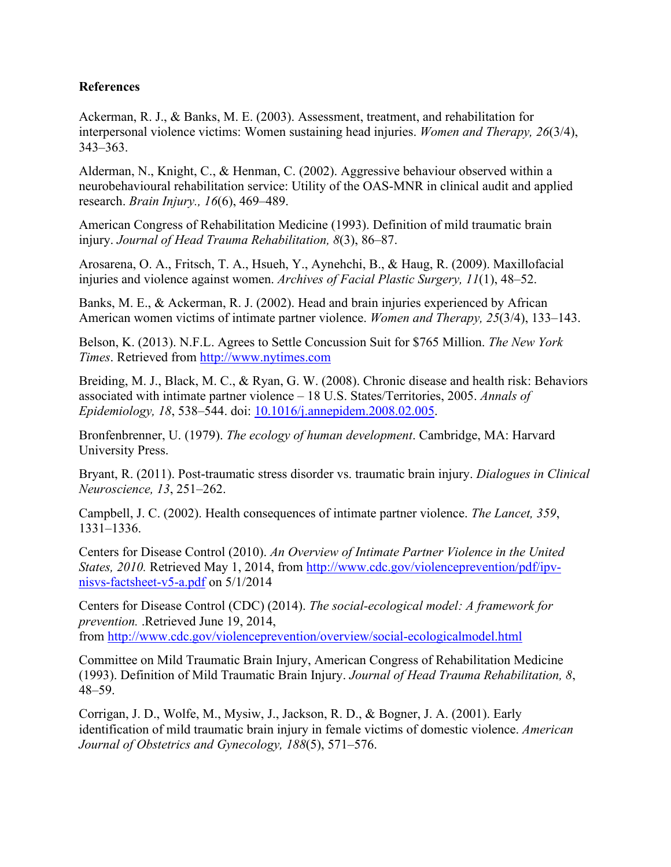### **References**

Ackerman, R. J., & Banks, M. E. (2003). Assessment, treatment, and rehabilitation for interpersonal violence victims: Women sustaining head injuries. *Women and Therapy, 26*(3/4), 343–363.

Alderman, N., Knight, C., & Henman, C. (2002). Aggressive behaviour observed within a neurobehavioural rehabilitation service: Utility of the OAS-MNR in clinical audit and applied research. *Brain Injury., 16*(6), 469–489.

American Congress of Rehabilitation Medicine (1993). Definition of mild traumatic brain injury. *Journal of Head Trauma Rehabilitation, 8*(3), 86–87.

Arosarena, O. A., Fritsch, T. A., Hsueh, Y., Aynehchi, B., & Haug, R. (2009). Maxillofacial injuries and violence against women. *Archives of Facial Plastic Surgery, 11*(1), 48–52.

Banks, M. E., & Ackerman, R. J. (2002). Head and brain injuries experienced by African American women victims of intimate partner violence. *Women and Therapy, 25*(3/4), 133–143.

Belson, K. (2013). N.F.L. Agrees to Settle Concussion Suit for \$765 Million. *The New York Times*. Retrieved from [http://www.nytimes.com](http://www.nytimes.com/)

Breiding, M. J., Black, M. C., & Ryan, G. W. (2008). Chronic disease and health risk: Behaviors associated with intimate partner violence – 18 U.S. States/Territories, 2005. *Annals of Epidemiology, 18*, 538–544. doi: [10.1016/j.annepidem.2008.02.005.](https://doi.org/10.1016/j.annepidem.2008.02.005)

Bronfenbrenner, U. (1979). *The ecology of human development*. Cambridge, MA: Harvard University Press.

Bryant, R. (2011). Post-traumatic stress disorder vs. traumatic brain injury. *Dialogues in Clinical Neuroscience, 13*, 251–262.

Campbell, J. C. (2002). Health consequences of intimate partner violence. *The Lancet, 359*, 1331–1336.

Centers for Disease Control (2010). *An Overview of Intimate Partner Violence in the United States, 2010.* Retrieved May 1, 2014, from [http://www.cdc.gov/violenceprevention/pdf/ipv](http://www.cdc.gov/violenceprevention/pdf/ipv-nisvs-factsheet-v5-a.pdf)[nisvs-factsheet-v5-a.pdf](http://www.cdc.gov/violenceprevention/pdf/ipv-nisvs-factsheet-v5-a.pdf) on 5/1/2014

Centers for Disease Control (CDC) (2014). *The social-ecological model: A framework for prevention.* .Retrieved June 19, 2014, from <http://www.cdc.gov/violenceprevention/overview/social-ecologicalmodel.html>

Committee on Mild Traumatic Brain Injury, American Congress of Rehabilitation Medicine (1993). Definition of Mild Traumatic Brain Injury. *Journal of Head Trauma Rehabilitation, 8*, 48–59.

Corrigan, J. D., Wolfe, M., Mysiw, J., Jackson, R. D., & Bogner, J. A. (2001). Early identification of mild traumatic brain injury in female victims of domestic violence. *American Journal of Obstetrics and Gynecology, 188*(5), 571–576.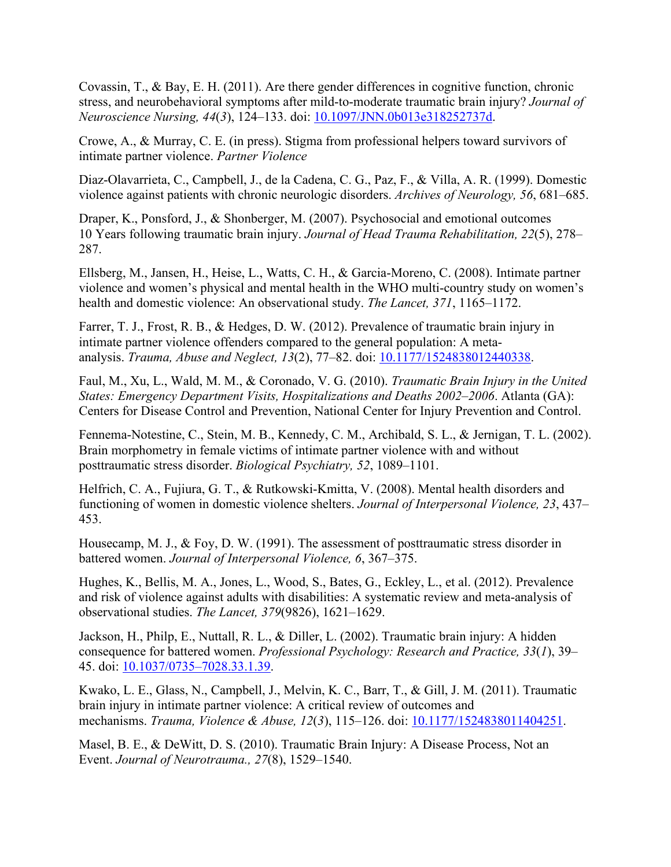Covassin, T., & Bay, E. H. (2011). Are there gender differences in cognitive function, chronic stress, and neurobehavioral symptoms after mild-to-moderate traumatic brain injury? *Journal of Neuroscience Nursing, 44*(*3*), 124–133. doi: [10.1097/JNN.0b013e318252737d.](https://doi.org/10.1097/JNN.0b013e318252737d)

Crowe, A., & Murray, C. E. (in press). Stigma from professional helpers toward survivors of intimate partner violence. *Partner Violence*

Diaz-Olavarrieta, C., Campbell, J., de la Cadena, C. G., Paz, F., & Villa, A. R. (1999). Domestic violence against patients with chronic neurologic disorders. *Archives of Neurology, 56*, 681–685.

Draper, K., Ponsford, J., & Shonberger, M. (2007). Psychosocial and emotional outcomes 10 Years following traumatic brain injury. *Journal of Head Trauma Rehabilitation, 22*(5), 278– 287.

Ellsberg, M., Jansen, H., Heise, L., Watts, C. H., & Garcia-Moreno, C. (2008). Intimate partner violence and women's physical and mental health in the WHO multi-country study on women's health and domestic violence: An observational study. *The Lancet, 371*, 1165–1172.

Farrer, T. J., Frost, R. B., & Hedges, D. W. (2012). Prevalence of traumatic brain injury in intimate partner violence offenders compared to the general population: A metaanalysis. *Trauma, Abuse and Neglect, 13*(2), 77–82. doi: [10.1177/1524838012440338.](https://doi.org/10.1177/1524838012440338)

Faul, M., Xu, L., Wald, M. M., & Coronado, V. G. (2010). *Traumatic Brain Injury in the United States: Emergency Department Visits, Hospitalizations and Deaths 2002–2006*. Atlanta (GA): Centers for Disease Control and Prevention, National Center for Injury Prevention and Control.

Fennema-Notestine, C., Stein, M. B., Kennedy, C. M., Archibald, S. L., & Jernigan, T. L. (2002). Brain morphometry in female victims of intimate partner violence with and without posttraumatic stress disorder. *Biological Psychiatry, 52*, 1089–1101.

Helfrich, C. A., Fujiura, G. T., & Rutkowski-Kmitta, V. (2008). Mental health disorders and functioning of women in domestic violence shelters. *Journal of Interpersonal Violence, 23*, 437– 453.

Housecamp, M. J., & Foy, D. W. (1991). The assessment of posttraumatic stress disorder in battered women. *Journal of Interpersonal Violence, 6*, 367–375.

Hughes, K., Bellis, M. A., Jones, L., Wood, S., Bates, G., Eckley, L., et al. (2012). Prevalence and risk of violence against adults with disabilities: A systematic review and meta-analysis of observational studies. *The Lancet, 379*(9826), 1621–1629.

Jackson, H., Philp, E., Nuttall, R. L., & Diller, L. (2002). Traumatic brain injury: A hidden consequence for battered women. *Professional Psychology: Research and Practice, 33*(*1*), 39– 45. doi: [10.1037/0735–7028.33.1.39.](https://doi.org/10.1037/0735-7028.33.1.39)

Kwako, L. E., Glass, N., Campbell, J., Melvin, K. C., Barr, T., & Gill, J. M. (2011). Traumatic brain injury in intimate partner violence: A critical review of outcomes and mechanisms. *Trauma, Violence & Abuse, 12*(*3*), 115–126. doi: [10.1177/1524838011404251.](https://doi.org/10.1177/1524838011404251)

Masel, B. E., & DeWitt, D. S. (2010). Traumatic Brain Injury: A Disease Process, Not an Event. *Journal of Neurotrauma., 27*(8), 1529–1540.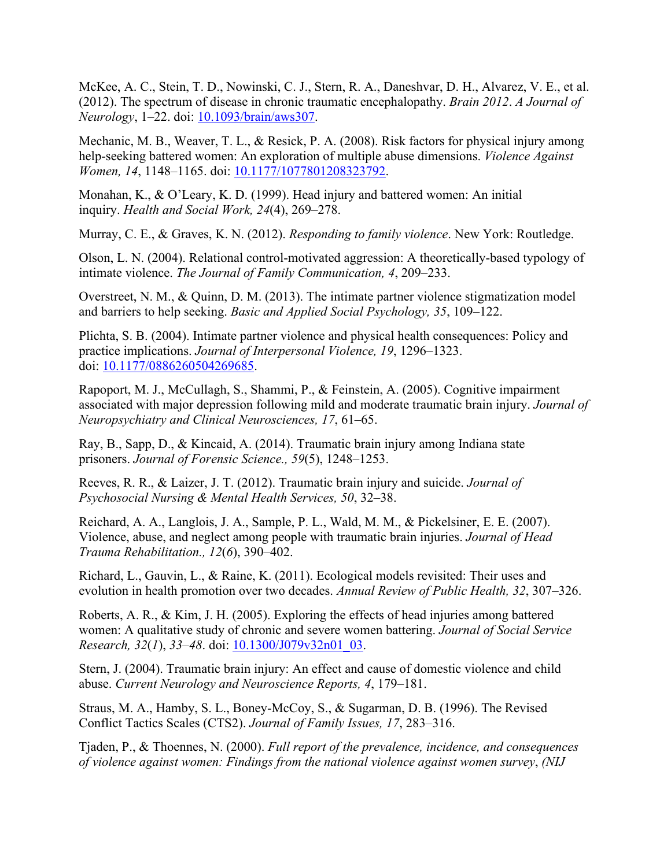McKee, A. C., Stein, T. D., Nowinski, C. J., Stern, R. A., Daneshvar, D. H., Alvarez, V. E., et al. (2012). The spectrum of disease in chronic traumatic encephalopathy. *Brain 2012*. *A Journal of Neurology*, 1–22. doi: [10.1093/brain/aws307.](https://doi.org/10.1093/brain/aws307)

Mechanic, M. B., Weaver, T. L., & Resick, P. A. (2008). Risk factors for physical injury among help-seeking battered women: An exploration of multiple abuse dimensions. *Violence Against Women, 14*, 1148–1165. doi: [10.1177/1077801208323792.](https://doi.org/10.1177/1077801208323792)

Monahan, K., & O'Leary, K. D. (1999). Head injury and battered women: An initial inquiry. *Health and Social Work, 24*(4), 269–278.

Murray, C. E., & Graves, K. N. (2012). *Responding to family violence*. New York: Routledge.

Olson, L. N. (2004). Relational control-motivated aggression: A theoretically-based typology of intimate violence. *The Journal of Family Communication, 4*, 209–233.

Overstreet, N. M., & Quinn, D. M. (2013). The intimate partner violence stigmatization model and barriers to help seeking. *Basic and Applied Social Psychology, 35*, 109–122.

Plichta, S. B. (2004). Intimate partner violence and physical health consequences: Policy and practice implications. *Journal of Interpersonal Violence, 19*, 1296–1323. doi: [10.1177/0886260504269685.](https://doi.org/10.1177/0886260504269685)

Rapoport, M. J., McCullagh, S., Shammi, P., & Feinstein, A. (2005). Cognitive impairment associated with major depression following mild and moderate traumatic brain injury. *Journal of Neuropsychiatry and Clinical Neurosciences, 17*, 61–65.

Ray, B., Sapp, D., & Kincaid, A. (2014). Traumatic brain injury among Indiana state prisoners. *Journal of Forensic Science., 59*(5), 1248–1253.

Reeves, R. R., & Laizer, J. T. (2012). Traumatic brain injury and suicide. *Journal of Psychosocial Nursing & Mental Health Services, 50*, 32–38.

Reichard, A. A., Langlois, J. A., Sample, P. L., Wald, M. M., & Pickelsiner, E. E. (2007). Violence, abuse, and neglect among people with traumatic brain injuries. *Journal of Head Trauma Rehabilitation., 12*(*6*), 390–402.

Richard, L., Gauvin, L., & Raine, K. (2011). Ecological models revisited: Their uses and evolution in health promotion over two decades. *Annual Review of Public Health, 32*, 307–326.

Roberts, A. R., & Kim, J. H. (2005). Exploring the effects of head injuries among battered women: A qualitative study of chronic and severe women battering. *Journal of Social Service Research, 32*(*1*), *33*–*48*. doi: [10.1300/J079v32n01\\_03.](https://doi.org/10.1300/J079v32n01_03)

Stern, J. (2004). Traumatic brain injury: An effect and cause of domestic violence and child abuse. *Current Neurology and Neuroscience Reports, 4*, 179–181.

Straus, M. A., Hamby, S. L., Boney-McCoy, S., & Sugarman, D. B. (1996). The Revised Conflict Tactics Scales (CTS2). *Journal of Family Issues, 17*, 283–316.

Tjaden, P., & Thoennes, N. (2000). *Full report of the prevalence, incidence, and consequences of violence against women: Findings from the national violence against women survey*, *(NIJ*